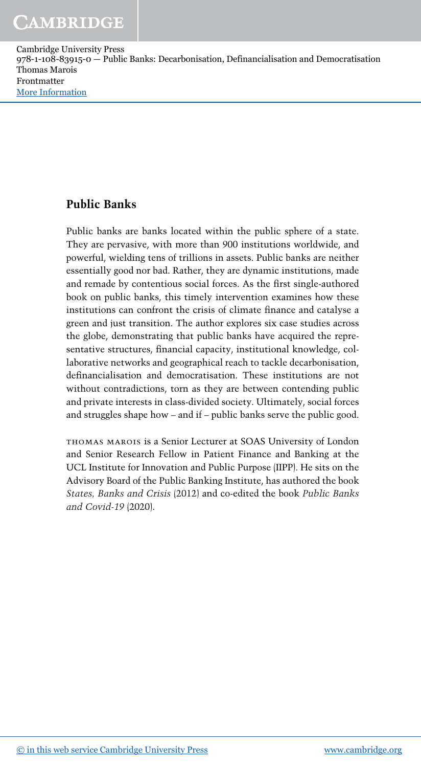#### **Public Banks**

Public banks are banks located within the public sphere of a state. They are pervasive, with more than 900 institutions worldwide, and powerful, wielding tens of trillions in assets. Public banks are neither essentially good nor bad. Rather, they are dynamic institutions, made and remade by contentious social forces. As the first single-authored book on public banks, this timely intervention examines how these institutions can confront the crisis of climate finance and catalyse a green and just transition. The author explores six case studies across the globe, demonstrating that public banks have acquired the representative structures, financial capacity, institutional knowledge, collaborative networks and geographical reach to tackle decarbonisation, definancialisation and democratisation. These institutions are not without contradictions, torn as they are between contending public and private interests in class-divided society. Ultimately, social forces and struggles shape how – and if – public banks serve the public good.

THOMAS MAROIS is a Senior Lecturer at SOAS University of London and Senior Research Fellow in Patient Finance and Banking at the UCL Institute for Innovation and Public Purpose (IIPP). He sits on the Advisory Board of the Public Banking Institute, has authored the book *States, Banks and Crisis* (2012) and co-edited the book *Public Banks and Covid-19* (2020).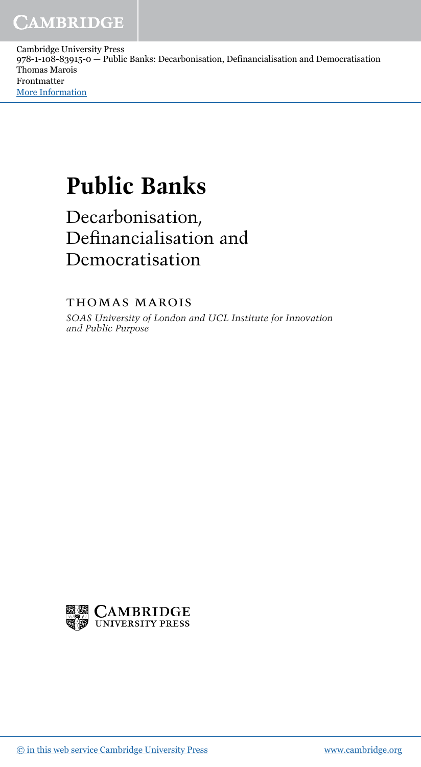# **Public Banks**

Decarbonisation, Definancialisation and Democratisation

THOMAS MAROIS

*SOAS University of London and UCL Institute for Innovation and Public Purpose*

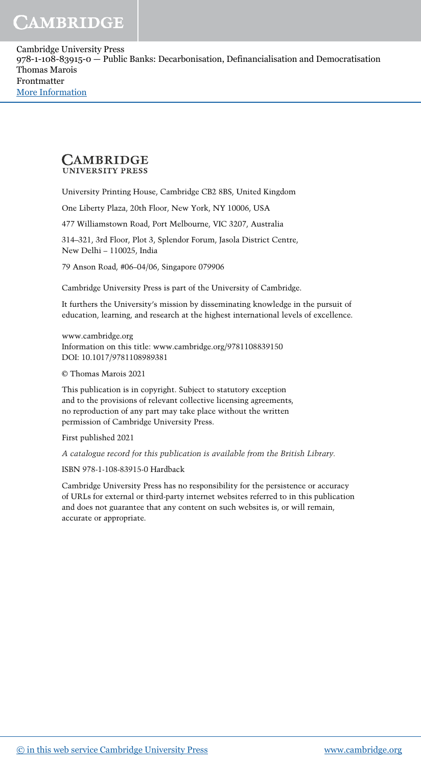#### **CAMBRIDGE UNIVERSITY PRESS**

University Printing House, Cambridge CB2 8BS, United Kingdom

One Liberty Plaza, 20th Floor, New York, NY 10006, USA

477 Williamstown Road, Port Melbourne, VIC 3207, Australia

314–321, 3rd Floor, Plot 3, Splendor Forum, Jasola District Centre, New Delhi – 110025, India

79 Anson Road, #06–04/06, Singapore 079906

Cambridge University Press is part of the University of Cambridge.

It furthers the University's mission by disseminating knowledge in the pursuit of education, learning, and research at the highest international levels of excellence.

www.cambridge.org Information on this title: www.cambridge.org/9781108839150 DOI: 10.1017/9781108989381

© Thomas Marois 2021

This publication is in copyright. Subject to statutory exception and to the provisions of relevant collective licensing agreements, no reproduction of any part may take place without the written permission of Cambridge University Press.

First published 2021

A catalogue record for this publication is available from the British Library.

ISBN 978-1-108-83915-0 Hardback

Cambridge University Press has no responsibility for the persistence or accuracy of URLs for external or third-party internet websites referred to in this publication and does not guarantee that any content on such websites is, or will remain, accurate or appropriate.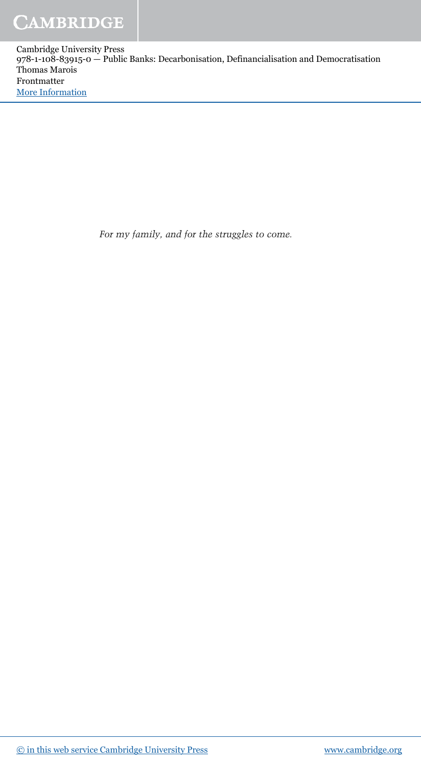*For my family, and for the struggles to come.*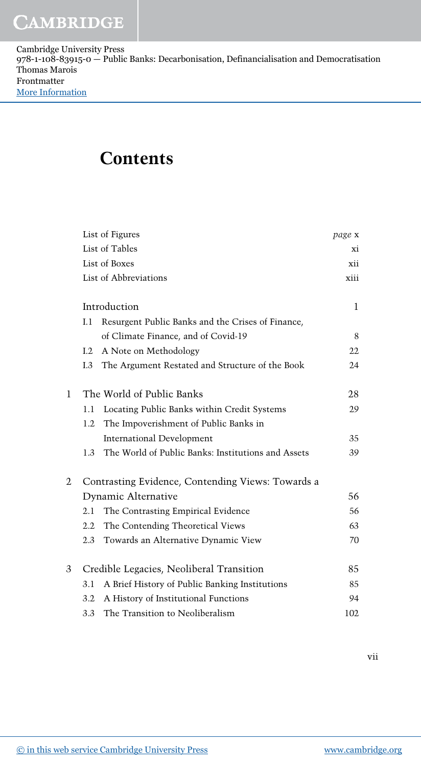| Cambridge University Press                                                                |
|-------------------------------------------------------------------------------------------|
| 978-1-108-83915-0 — Public Banks: Decarbonisation, Definancialisation and Democratisation |
| Thomas Marois                                                                             |
| Frontmatter                                                                               |
| <b>More Information</b>                                                                   |

### **Contents**

|                     |                | List of Figures                                    | page x |
|---------------------|----------------|----------------------------------------------------|--------|
|                     | List of Tables |                                                    |        |
|                     | List of Boxes  |                                                    | xii    |
|                     |                | List of Abbreviations                              | xiii   |
|                     |                | Introduction                                       | 1      |
|                     | I.1            | Resurgent Public Banks and the Crises of Finance,  |        |
|                     |                | of Climate Finance, and of Covid-19                | 8      |
|                     | 1.2            | A Note on Methodology                              | 22     |
|                     | I.3            | The Argument Restated and Structure of the Book    | 24     |
| 1                   |                | The World of Public Banks                          | 28     |
|                     | 1.1            | Locating Public Banks within Credit Systems        | 29     |
|                     | 1.2            | The Impoverishment of Public Banks in              |        |
|                     |                | <b>International Development</b>                   | 35     |
|                     | 1.3            | The World of Public Banks: Institutions and Assets | 39     |
| 2                   |                | Contrasting Evidence, Contending Views: Towards a  |        |
| Dynamic Alternative |                |                                                    | 56     |
|                     | 2.1            | The Contrasting Empirical Evidence                 | 56     |
|                     | $2.2^{\circ}$  | The Contending Theoretical Views                   | 63     |
|                     | 2.3            | Towards an Alternative Dynamic View                | 70     |
| 3                   |                | Credible Legacies, Neoliberal Transition           | 85     |
|                     | 3.1            | A Brief History of Public Banking Institutions     | 85     |
|                     | 3.2            | A History of Institutional Functions               | 94     |
|                     | 3.3            | The Transition to Neoliberalism                    | 102    |

vii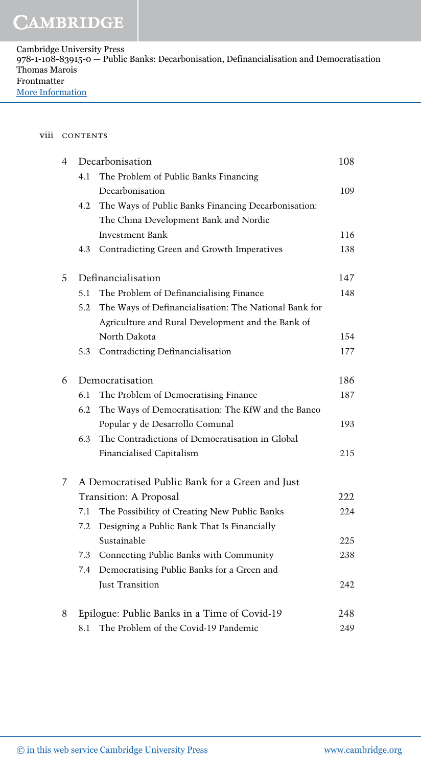#### viii CONTENTS

| 4           | Decarbonisation    |                                                       | 108 |
|-------------|--------------------|-------------------------------------------------------|-----|
| 4.1         |                    | The Problem of Public Banks Financing                 |     |
|             |                    | Decarbonisation                                       | 109 |
|             | 4.2                | The Ways of Public Banks Financing Decarbonisation:   |     |
|             |                    | The China Development Bank and Nordic                 |     |
|             |                    | <b>Investment Bank</b>                                | 116 |
|             | 4.3                | Contradicting Green and Growth Imperatives            | 138 |
| 5           | Definancialisation |                                                       | 147 |
|             | 5.1                | The Problem of Definancialising Finance               | 148 |
|             | 5.2                | The Ways of Definancialisation: The National Bank for |     |
|             |                    | Agriculture and Rural Development and the Bank of     |     |
|             |                    | North Dakota                                          | 154 |
|             | 5.3                | Contradicting Definancialisation                      | 177 |
| 6           | Democratisation    |                                                       | 186 |
|             | 6.1                | The Problem of Democratising Finance                  | 187 |
|             | 6.2                | The Ways of Democratisation: The KfW and the Banco    |     |
|             |                    | Popular y de Desarrollo Comunal                       | 193 |
|             | 6.3                | The Contradictions of Democratisation in Global       |     |
|             |                    | Financialised Capitalism                              | 215 |
| $7^{\circ}$ |                    | A Democratised Public Bank for a Green and Just       |     |
|             |                    | Transition: A Proposal                                | 222 |
|             | 7.1                | The Possibility of Creating New Public Banks          | 224 |
|             | 7.2                | Designing a Public Bank That Is Financially           |     |
|             |                    | Sustainable                                           | 225 |
|             | 7.3                | Connecting Public Banks with Community                | 238 |
|             | 7.4                | Democratising Public Banks for a Green and            |     |
|             |                    | Just Transition                                       | 242 |
| 8           |                    | Epilogue: Public Banks in a Time of Covid-19          | 248 |
|             | 8.1                | The Problem of the Covid-19 Pandemic                  | 249 |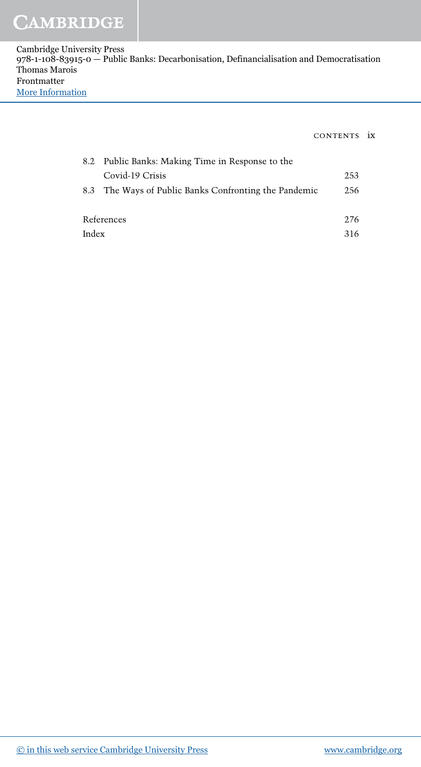### **CAMBRIDGE**

Cambridge University Press 978-1-108-83915-0 — Public Banks: Decarbonisation, Definancialisation and Democratisation Thomas Marois Frontmatter [More Information](www.cambridge.org/9781108839150)

#### CONTENTS ix

|       | 8.2 Public Banks: Making Time in Response to the      |      |
|-------|-------------------------------------------------------|------|
|       | Covid-19 Crisis                                       | 253  |
|       | 8.3 The Ways of Public Banks Confronting the Pandemic | 256  |
|       |                                                       |      |
|       | References                                            | 276  |
| Index |                                                       | 316. |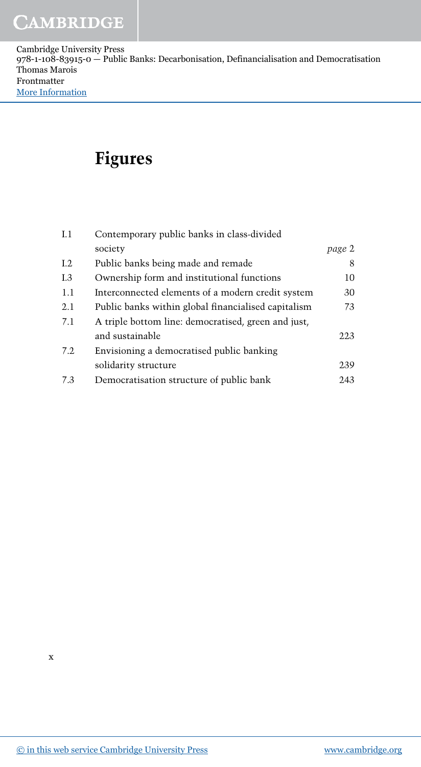### **Figures**

| I. 1    | Contemporary public banks in class-divided          |        |
|---------|-----------------------------------------------------|--------|
|         | society                                             | page 2 |
| I.2     | Public banks being made and remade                  | 8      |
| I.3     | Ownership form and institutional functions          | 10     |
| 1.1     | Interconnected elements of a modern credit system   | 30     |
| $2.1\,$ | Public banks within global financialised capitalism | 73     |
| 7.1     | A triple bottom line: democratised, green and just, |        |
|         | and sustainable                                     | 223    |
| 7.2     | Envisioning a democratised public banking           |        |
|         | solidarity structure                                | 239    |
| 7.3     | Democratisation structure of public bank            | 243    |
|         |                                                     |        |

x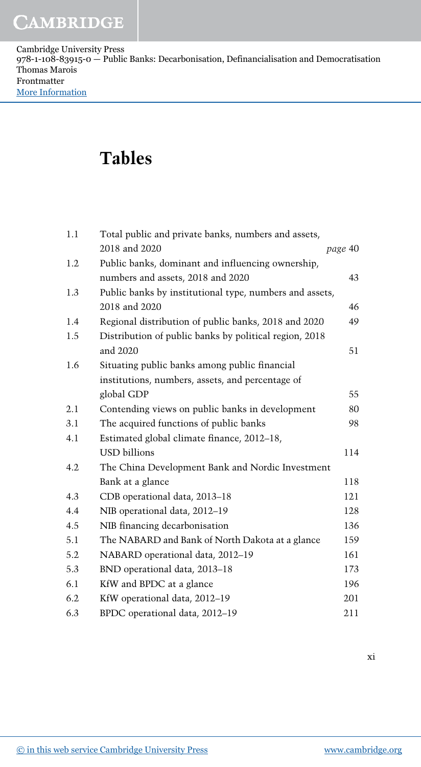### **Tables**

| Total public and private banks, numbers and assets,<br>1.1 |                                                         |         |
|------------------------------------------------------------|---------------------------------------------------------|---------|
|                                                            | 2018 and 2020                                           | page 40 |
| 1.2                                                        | Public banks, dominant and influencing ownership,       |         |
|                                                            | numbers and assets, 2018 and 2020                       | 43      |
| 1.3                                                        | Public banks by institutional type, numbers and assets, |         |
|                                                            | 2018 and 2020                                           | 46      |
| 1.4                                                        | Regional distribution of public banks, 2018 and 2020    | 49      |
| 1.5                                                        | Distribution of public banks by political region, 2018  |         |
|                                                            | and 2020                                                | 51      |
| 1.6                                                        | Situating public banks among public financial           |         |
|                                                            | institutions, numbers, assets, and percentage of        |         |
|                                                            | global GDP                                              | 55      |
| 2.1                                                        | Contending views on public banks in development         | 80      |
| 3.1                                                        | The acquired functions of public banks                  | 98      |
| 4.1                                                        | Estimated global climate finance, 2012-18,              |         |
|                                                            | <b>USD</b> billions                                     | 114     |
| 4.2                                                        | The China Development Bank and Nordic Investment        |         |
|                                                            | Bank at a glance                                        | 118     |
| 4.3                                                        | CDB operational data, 2013-18                           | 121     |
| 4.4                                                        | NIB operational data, 2012-19                           | 128     |
| 4.5                                                        | NIB financing decarbonisation                           | 136     |
| 5.1                                                        | The NABARD and Bank of North Dakota at a glance         | 159     |
| 5.2                                                        | NABARD operational data, 2012-19                        | 161     |
| 5.3                                                        | BND operational data, 2013-18                           | 173     |
| 6.1                                                        | KfW and BPDC at a glance                                | 196     |
| 6.2                                                        | KfW operational data, 2012-19                           | 201     |
| 6.3                                                        | BPDC operational data, 2012-19                          | 211     |

xi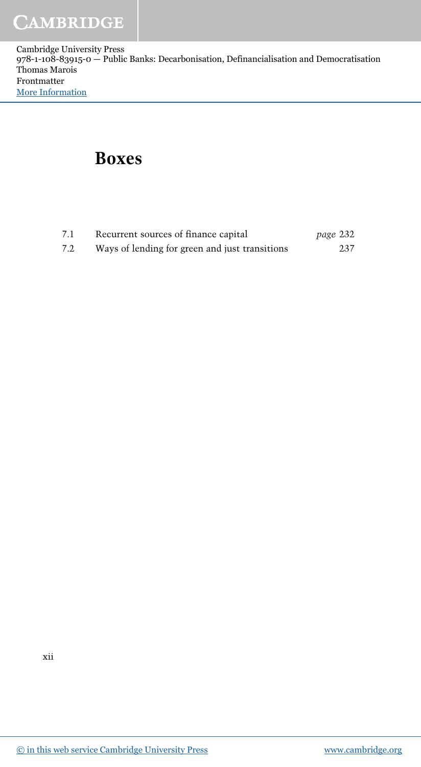#### **Boxes**

| 7.1 | Recurrent sources of finance capital           | page 232 |
|-----|------------------------------------------------|----------|
| 7.2 | Ways of lending for green and just transitions | 237      |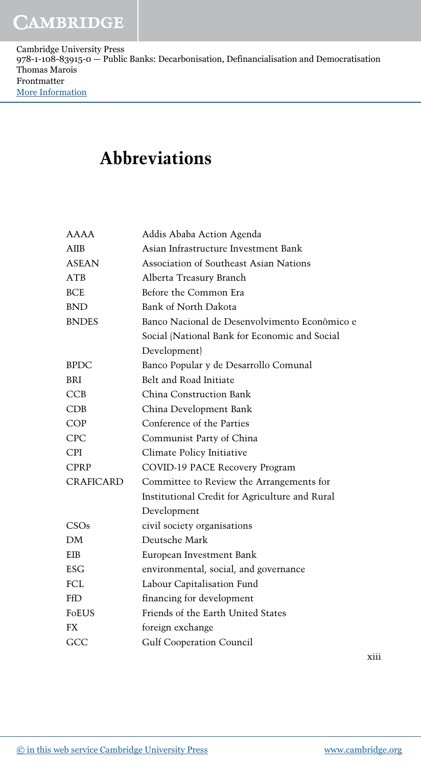## **Abbreviations**

| <b>AAAA</b>      | Addis Ababa Action Agenda                      |
|------------------|------------------------------------------------|
| AIIB             | Asian Infrastructure Investment Bank           |
| <b>ASEAN</b>     | Association of Southeast Asian Nations         |
| ATB              | Alberta Treasury Branch                        |
| <b>BCE</b>       | Before the Common Era                          |
| <b>BND</b>       | Bank of North Dakota                           |
| <b>BNDES</b>     | Banco Nacional de Desenvolvimento Econômico e  |
|                  | Social (National Bank for Economic and Social  |
|                  | Development)                                   |
| <b>BPDC</b>      | Banco Popular y de Desarrollo Comunal          |
| BRI              | Belt and Road Initiate                         |
| <b>CCB</b>       | China Construction Bank                        |
| <b>CDB</b>       | China Development Bank                         |
| <b>COP</b>       | Conference of the Parties                      |
| <b>CPC</b>       | Communist Party of China                       |
| <b>CPI</b>       | Climate Policy Initiative                      |
| <b>CPRP</b>      | COVID-19 PACE Recovery Program                 |
| <b>CRAFICARD</b> | Committee to Review the Arrangements for       |
|                  | Institutional Credit for Agriculture and Rural |
|                  | Development                                    |
| CSOs             | civil society organisations                    |
| DM               | Deutsche Mark                                  |
| <b>EIB</b>       | European Investment Bank                       |
| <b>ESG</b>       | environmental, social, and governance          |
| FCL              | Labour Capitalisation Fund                     |
| FfD              | financing for development                      |
| <b>FoEUS</b>     | Friends of the Earth United States             |
| FX               | foreign exchange                               |
| GCC              | <b>Gulf Cooperation Council</b>                |
|                  |                                                |

xiii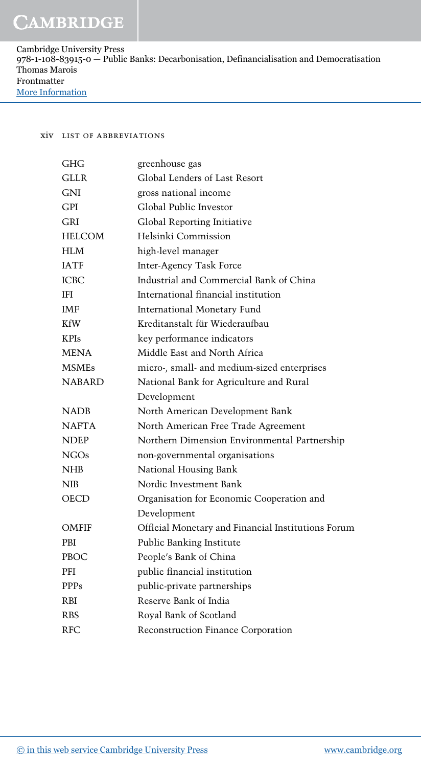#### **XIV LIST OF ABBREVIATIONS**

| <b>GHG</b>    | greenhouse gas                                     |
|---------------|----------------------------------------------------|
| <b>GLLR</b>   | Global Lenders of Last Resort                      |
| GNI           | gross national income                              |
| GPI           | Global Public Investor                             |
| <b>GRI</b>    | Global Reporting Initiative                        |
| <b>HELCOM</b> | Helsinki Commission                                |
| <b>HLM</b>    | high-level manager                                 |
| <b>IATF</b>   | <b>Inter-Agency Task Force</b>                     |
| <b>ICBC</b>   | Industrial and Commercial Bank of China            |
| IFI           | International financial institution                |
| <b>IMF</b>    | <b>International Monetary Fund</b>                 |
| <b>KfW</b>    | Kreditanstalt für Wiederaufbau                     |
| <b>KPIs</b>   | key performance indicators                         |
| <b>MENA</b>   | Middle East and North Africa                       |
| <b>MSMEs</b>  | micro-, small- and medium-sized enterprises        |
| <b>NABARD</b> | National Bank for Agriculture and Rural            |
|               | Development                                        |
| <b>NADB</b>   | North American Development Bank                    |
| <b>NAFTA</b>  | North American Free Trade Agreement                |
| <b>NDEP</b>   | Northern Dimension Environmental Partnership       |
| NGOs          | non-governmental organisations                     |
| <b>NHB</b>    | National Housing Bank                              |
| <b>NIB</b>    | Nordic Investment Bank                             |
| OECD          | Organisation for Economic Cooperation and          |
|               | Development                                        |
| OMFIF         | Official Monetary and Financial Institutions Forum |
| <b>PBI</b>    | Public Banking Institute                           |
| <b>PBOC</b>   | People's Bank of China                             |
| PFI           | public financial institution                       |
| <b>PPPs</b>   | public-private partnerships                        |
| <b>RBI</b>    | Reserve Bank of India                              |
| <b>RBS</b>    | Royal Bank of Scotland                             |
| <b>RFC</b>    | Reconstruction Finance Corporation                 |